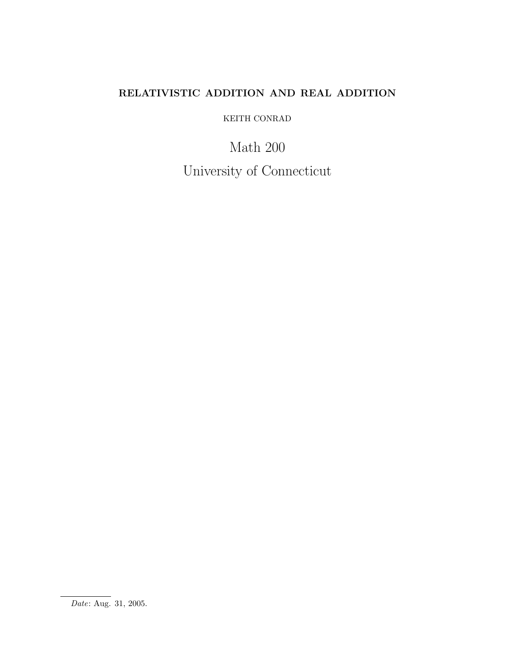# RELATIVISTIC ADDITION AND REAL ADDITION

KEITH CONRAD

Math 200 University of Connecticut

Date: Aug. 31, 2005.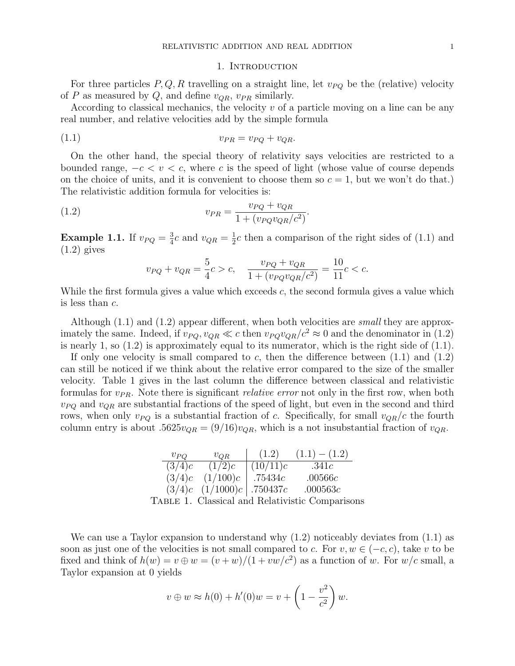#### 1. INTRODUCTION

For three particles  $P, Q, R$  travelling on a straight line, let  $v_{PQ}$  be the (relative) velocity of P as measured by Q, and define  $v_{QR}$ ,  $v_{PR}$  similarly.

According to classical mechanics, the velocity  $v$  of a particle moving on a line can be any real number, and relative velocities add by the simple formula

$$
(1.1) \t\t v_{PR} = v_{PQ} + v_{QR}.
$$

On the other hand, the special theory of relativity says velocities are restricted to a bounded range,  $-c < v < c$ , where c is the speed of light (whose value of course depends on the choice of units, and it is convenient to choose them so  $c = 1$ , but we won't do that.) The relativistic addition formula for velocities is:

(1.2) 
$$
v_{PR} = \frac{v_{PQ} + v_{QR}}{1 + (v_{PQ}v_{QR}/c^2)}.
$$

**Example 1.1.** If  $v_{PQ} = \frac{3}{4}$  $\frac{3}{4}c$  and  $v_{QR} = \frac{1}{2}$  $\frac{1}{2}c$  then a comparison of the right sides of (1.1) and  $(1.2)$  gives

$$
v_{PQ} + v_{QR} = \frac{5}{4}c > c, \quad \frac{v_{PQ} + v_{QR}}{1 + (v_{PQ}v_{QR}/c^2)} = \frac{10}{11}c < c.
$$

While the first formula gives a value which exceeds c, the second formula gives a value which is less than c.

Although (1.1) and (1.2) appear different, when both velocities are small they are approximately the same. Indeed, if  $v_{PQ}, v_{QR} \ll c$  then  $v_{PQ} v_{QR}/c^2 \approx 0$  and the denominator in (1.2) is nearly 1, so (1.2) is approximately equal to its numerator, which is the right side of (1.1).

If only one velocity is small compared to c, then the difference between  $(1.1)$  and  $(1.2)$ can still be noticed if we think about the relative error compared to the size of the smaller velocity. Table 1 gives in the last column the difference between classical and relativistic formulas for  $v_{PR}$ . Note there is significant *relative error* not only in the first row, when both  $v_{PQ}$  and  $v_{QR}$  are substantial fractions of the speed of light, but even in the second and third rows, when only  $v_{PQ}$  is a substantial fraction of c. Specifically, for small  $v_{QR}/c$  the fourth column entry is about .5625 $v_{QR} = (9/16)v_{QR}$ , which is a not insubstantial fraction of  $v_{QR}$ .

| $v_{PO}$ | $v_{QR}$            | (1.2)                         | $(1.1) - (1.2)$                                 |  |
|----------|---------------------|-------------------------------|-------------------------------------------------|--|
| (3/4)c   | (1/2)c              | (10/11)c                      | .341c                                           |  |
|          | $(3/4)c$ $(1/100)c$ | $\vert$ .75434 $c$            | .00566c                                         |  |
|          |                     | $(3/4)c$ $(1/1000)c$ .750437c | .000563c                                        |  |
|          |                     |                               | TABLE 1. Classical and Relativistic Comparisons |  |

We can use a Taylor expansion to understand why  $(1.2)$  noticeably deviates from  $(1.1)$  as soon as just one of the velocities is not small compared to c. For  $v, w \in (-c, c)$ , take v to be fixed and think of  $h(w) = v \oplus w = (v + w)/(1 + vw/c^2)$  as a function of w. For  $w/c$  small, a Taylor expansion at 0 yields

$$
v \oplus w \approx h(0) + h'(0)w = v + \left(1 - \frac{v^2}{c^2}\right)w.
$$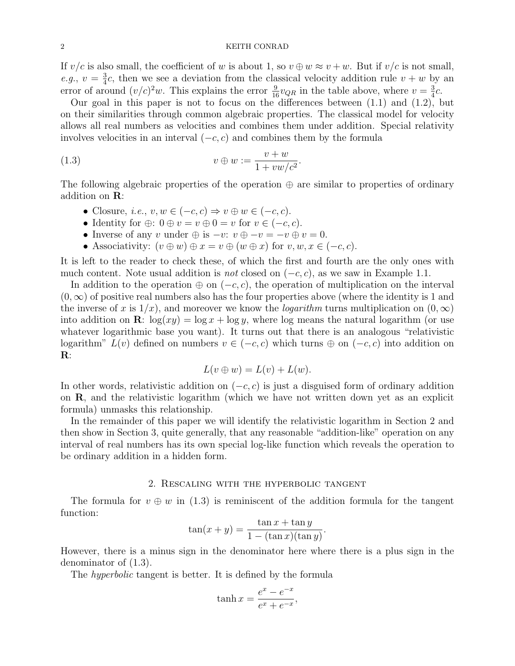### 2 KEITH CONRAD

If  $v/c$  is also small, the coefficient of w is about 1, so  $v \oplus w \approx v + w$ . But if  $v/c$  is not small, e.g.,  $v = \frac{3}{4}$  $\frac{3}{4}c$ , then we see a deviation from the classical velocity addition rule  $v + w$  by an error of around  $(v/c)^2w$ . This explains the error  $\frac{9}{16}v_{QR}$  in the table above, where  $v = \frac{3}{4}$  $rac{3}{4}c$ .

Our goal in this paper is not to focus on the differences between (1.1) and (1.2), but on their similarities through common algebraic properties. The classical model for velocity allows all real numbers as velocities and combines them under addition. Special relativity involves velocities in an interval  $(-c, c)$  and combines them by the formula

$$
(1.3) \t v \oplus w := \frac{v+w}{1+vw/c^2}.
$$

The following algebraic properties of the operation  $\oplus$  are similar to properties of ordinary addition on R:

- Closure, *i.e.*,  $v, w \in (-c, c) \Rightarrow v \oplus w \in (-c, c)$ .
- Identity for  $\oplus$ :  $0 \oplus v = v \oplus 0 = v$  for  $v \in (-c, c)$ .
- Inverse of any v under  $\oplus$  is  $-v: v \oplus -v = -v \oplus v = 0$ .
- Associativity:  $(v \oplus w) \oplus x = v \oplus (w \oplus x)$  for  $v, w, x \in (-c, c)$ .

It is left to the reader to check these, of which the first and fourth are the only ones with much content. Note usual addition is *not* closed on  $(-c, c)$ , as we saw in Example 1.1.

In addition to the operation  $\oplus$  on  $(-c, c)$ , the operation of multiplication on the interval  $(0, \infty)$  of positive real numbers also has the four properties above (where the identity is 1 and the inverse of x is  $1/x$ , and moreover we know the *logarithm* turns multiplication on  $(0, \infty)$ into addition on **R**:  $\log(xy) = \log x + \log y$ , where  $\log$  means the natural logarithm (or use whatever logarithmic base you want). It turns out that there is an analogous "relativistic logarithm"  $L(v)$  defined on numbers  $v \in (-c, c)$  which turns  $\oplus$  on  $(-c, c)$  into addition on R:

$$
L(v \oplus w) = L(v) + L(w).
$$

In other words, relativistic addition on  $(-c, c)$  is just a disguised form of ordinary addition on R, and the relativistic logarithm (which we have not written down yet as an explicit formula) unmasks this relationship.

In the remainder of this paper we will identify the relativistic logarithm in Section 2 and then show in Section 3, quite generally, that any reasonable "addition-like" operation on any interval of real numbers has its own special log-like function which reveals the operation to be ordinary addition in a hidden form.

#### 2. Rescaling with the hyperbolic tangent

The formula for  $v \oplus w$  in (1.3) is reminiscent of the addition formula for the tangent function:

$$
\tan(x+y) = \frac{\tan x + \tan y}{1 - (\tan x)(\tan y)}.
$$

However, there is a minus sign in the denominator here where there is a plus sign in the denominator of (1.3).

The *hyperbolic* tangent is better. It is defined by the formula

$$
\tanh x = \frac{e^x - e^{-x}}{e^x + e^{-x}},
$$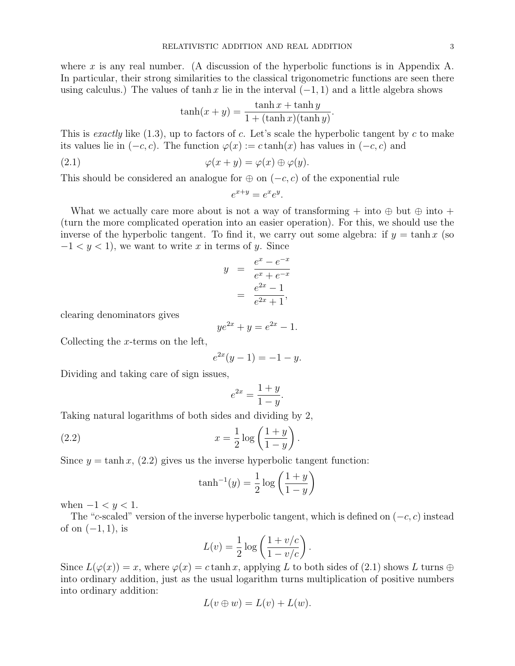where x is any real number. (A discussion of the hyperbolic functions is in Appendix A. In particular, their strong similarities to the classical trigonometric functions are seen there using calculus.) The values of tanh x lie in the interval  $(-1, 1)$  and a little algebra shows

$$
\tanh(x+y) = \frac{\tanh x + \tanh y}{1 + (\tanh x)(\tanh y)}.
$$

This is exactly like  $(1.3)$ , up to factors of c. Let's scale the hyperbolic tangent by c to make its values lie in  $(-c, c)$ . The function  $\varphi(x) := c \tanh(x)$  has values in  $(-c, c)$  and

(2.1) 
$$
\varphi(x+y) = \varphi(x) \oplus \varphi(y).
$$

This should be considered an analogue for  $\oplus$  on  $(-c, c)$  of the exponential rule

$$
e^{x+y} = e^x e^y.
$$

What we actually care more about is not a way of transforming  $+$  into  $\oplus$  but  $\oplus$  into  $+$ (turn the more complicated operation into an easier operation). For this, we should use the inverse of the hyperbolic tangent. To find it, we carry out some algebra: if  $y = \tanh x$  (so  $-1 < y < 1$ , we want to write x in terms of y. Since

$$
y = \frac{e^x - e^{-x}}{e^x + e^{-x}}
$$
  
= 
$$
\frac{e^{2x} - 1}{e^{2x} + 1},
$$

clearing denominators gives

$$
ye^{2x} + y = e^{2x} - 1.
$$

Collecting the x-terms on the left,

$$
e^{2x}(y-1) = -1 - y.
$$

Dividing and taking care of sign issues,

$$
e^{2x} = \frac{1+y}{1-y}.
$$

Taking natural logarithms of both sides and dividing by 2,

(2.2) 
$$
x = \frac{1}{2} \log \left( \frac{1+y}{1-y} \right)
$$

Since  $y = \tanh x$ , (2.2) gives us the inverse hyperbolic tangent function:

$$
\tanh^{-1}(y) = \frac{1}{2}\log\left(\frac{1+y}{1-y}\right)
$$

.

when  $-1 < y < 1$ .

The "c-scaled" version of the inverse hyperbolic tangent, which is defined on  $(-c, c)$  instead of on  $(-1, 1)$ , is

$$
L(v) = \frac{1}{2} \log \left( \frac{1 + v/c}{1 - v/c} \right).
$$

Since  $L(\varphi(x)) = x$ , where  $\varphi(x) = c \tanh x$ , applying L to both sides of (2.1) shows L turns  $\oplus$ into ordinary addition, just as the usual logarithm turns multiplication of positive numbers into ordinary addition:

$$
L(v \oplus w) = L(v) + L(w).
$$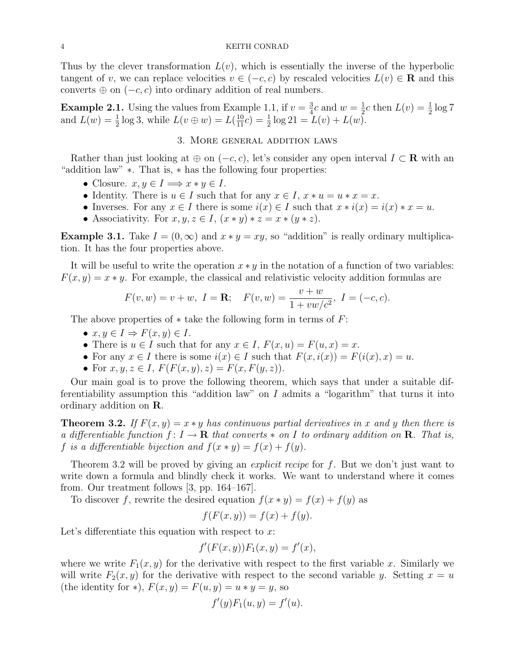Thus by the clever transformation  $L(v)$ , which is essentially the inverse of the hyperbolic tangent of v, we can replace velocities  $v \in (-c, c)$  by rescaled velocities  $L(v) \in \mathbf{R}$  and this converts  $\oplus$  on  $(-c, c)$  into ordinary addition of real numbers.

**Example 2.1.** Using the values from Example 1.1, if  $v = \frac{3}{4}$  $\frac{3}{4}c$  and  $w=\frac{1}{2}$  $\frac{1}{2}c$  then  $L(v) = \frac{1}{2}\log 7$ and  $L(w) = \frac{1}{2} \log 3$ , while  $L(v \oplus w) = L(\frac{10}{11}c) = \frac{1}{2} \log 21 = L(v) + L(w)$ .

## 3. More general addition laws

Rather than just looking at  $\oplus$  on  $(-c, c)$ , let's consider any open interval  $I \subset \mathbf{R}$  with an "addition law" ∗. That is, ∗ has the following four properties:

- Closure.  $x, y \in I \Longrightarrow x * y \in I$ .
- Identity. There is  $u \in I$  such that for any  $x \in I$ ,  $x * u = u * x = x$ .
- Inverses. For any  $x \in I$  there is some  $i(x) \in I$  such that  $x * i(x) = i(x) * x = u$ .
- Associativity. For  $x, y, z \in I$ ,  $(x * y) * z = x * (y * z)$ .

**Example 3.1.** Take  $I = (0, \infty)$  and  $x * y = xy$ , so "addition" is really ordinary multiplication. It has the four properties above.

It will be useful to write the operation  $x * y$  in the notation of a function of two variables:  $F(x, y) = x * y$ . For example, the classical and relativistic velocity addition formulas are

$$
F(v, w) = v + w
$$
,  $I = \mathbf{R}$ ;  $F(v, w) = \frac{v + w}{1 + vw/c^2}$ ,  $I = (-c, c)$ .

The above properties of  $*$  take the following form in terms of  $F$ :

- $x, y \in I \Rightarrow F(x, y) \in I$ .
- There is  $u \in I$  such that for any  $x \in I$ ,  $F(x, u) = F(u, x) = x$ .
- For any  $x \in I$  there is some  $i(x) \in I$  such that  $F(x, i(x)) = F(i(x), x) = u$ .
- For  $x, y, z \in I$ ,  $F(F(x, y), z) = F(x, F(y, z))$ .

Our main goal is to prove the following theorem, which says that under a suitable differentiability assumption this "addition law" on  $I$  admits a "logarithm" that turns it into ordinary addition on R.

**Theorem 3.2.** If  $F(x, y) = x * y$  has continuous partial derivatives in x and y then there is a differentiable function  $f: I \to \mathbf{R}$  that converts  $*$  on I to ordinary addition on  $\mathbf{R}$ . That is, f is a differentiable bijection and  $f(x * y) = f(x) + f(y)$ .

Theorem 3.2 will be proved by giving an *explicit recipe* for f. But we don't just want to write down a formula and blindly check it works. We want to understand where it comes from. Our treatment follows [3, pp. 164–167].

To discover f, rewrite the desired equation  $f(x * y) = f(x) + f(y)$  as

$$
f(F(x, y)) = f(x) + f(y).
$$

Let's differentiate this equation with respect to  $x$ :

$$
f'(F(x,y))F_1(x,y) = f'(x),
$$

where we write  $F_1(x, y)$  for the derivative with respect to the first variable x. Similarly we will write  $F_2(x, y)$  for the derivative with respect to the second variable y. Setting  $x = u$ (the identity for \*),  $F(x, y) = F(u, y) = u * y = y$ , so

$$
f'(y)F_1(u, y) = f'(u).
$$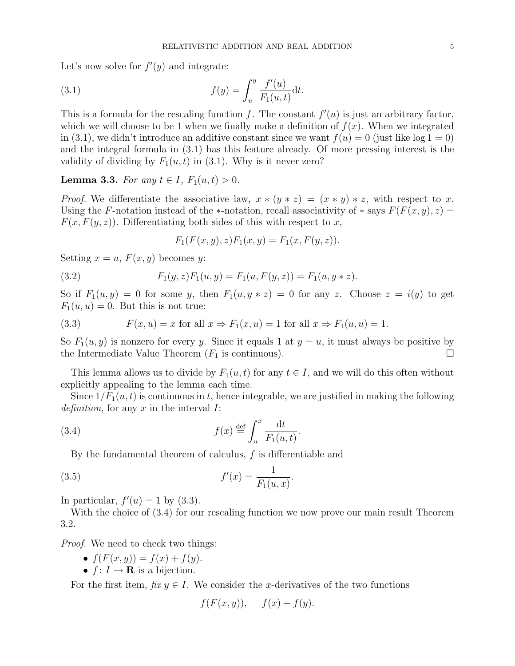Let's now solve for  $f'(y)$  and integrate:

(3.1) 
$$
f(y) = \int_{u}^{y} \frac{f'(u)}{F_1(u,t)} dt.
$$

This is a formula for the rescaling function f. The constant  $f'(u)$  is just an arbitrary factor, which we will choose to be 1 when we finally make a definition of  $f(x)$ . When we integrated in (3.1), we didn't introduce an additive constant since we want  $f(u) = 0$  (just like log  $1 = 0$ ) and the integral formula in (3.1) has this feature already. Of more pressing interest is the validity of dividing by  $F_1(u, t)$  in (3.1). Why is it never zero?

**Lemma 3.3.** For any  $t \in I$ ,  $F_1(u,t) > 0$ .

*Proof.* We differentiate the associative law,  $x * (y * z) = (x * y) * z$ , with respect to x. Using the F-notation instead of the ∗-notation, recall associativity of  $*$  says  $F(F(x, y), z) =$  $F(x, F(y, z))$ . Differentiating both sides of this with respect to x,

$$
F_1(F(x, y), z)F_1(x, y) = F_1(x, F(y, z)).
$$

Setting  $x = u$ ,  $F(x, y)$  becomes y:

(3.2) 
$$
F_1(y, z)F_1(u, y) = F_1(u, F(y, z)) = F_1(u, y * z).
$$

So if  $F_1(u, y) = 0$  for some y, then  $F_1(u, y * z) = 0$  for any z. Choose  $z = i(y)$  to get  $F_1(u, u) = 0$ . But this is not true:

(3.3) 
$$
F(x, u) = x \text{ for all } x \Rightarrow F_1(x, u) = 1 \text{ for all } x \Rightarrow F_1(u, u) = 1.
$$

So  $F_1(u, y)$  is nonzero for every y. Since it equals 1 at  $y = u$ , it must always be positive by the Intermediate Value Theorem  $(F_1$  is continuous).

This lemma allows us to divide by  $F_1(u, t)$  for any  $t \in I$ , and we will do this often without explicitly appealing to the lemma each time.

Since  $1/F_1(u, t)$  is continuous in t, hence integrable, we are justified in making the following definition, for any  $x$  in the interval  $I$ :

(3.4) 
$$
f(x) \stackrel{\text{def}}{=} \int_u^x \frac{\mathrm{d}t}{F_1(u,t)}.
$$

By the fundamental theorem of calculus, f is differentiable and

(3.5) 
$$
f'(x) = \frac{1}{F_1(u,x)}.
$$

In particular,  $f'(u) = 1$  by (3.3).

With the choice of (3.4) for our rescaling function we now prove our main result Theorem 3.2.

Proof. We need to check two things:

- $f(F(x, y)) = f(x) + f(y)$ .
- $f: I \to \mathbf{R}$  is a bijection.

For the first item, fix  $y \in I$ . We consider the x-derivatives of the two functions

$$
f(F(x, y)), \quad f(x) + f(y).
$$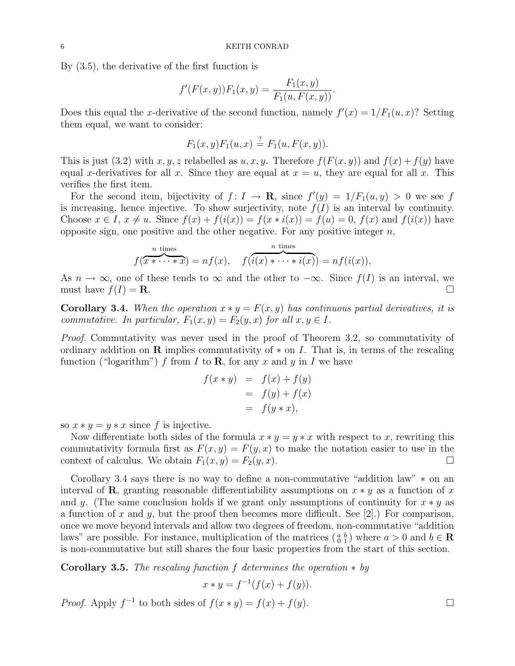By (3.5), the derivative of the first function is

$$
f'(F(x, y))F_1(x, y) = \frac{F_1(x, y)}{F_1(u, F(x, y))}.
$$

Does this equal the x-derivative of the second function, namely  $f'(x) = 1/F_1(u, x)$ ? Setting them equal, we want to consider:

$$
F_1(x, y)F_1(u, x) \stackrel{?}{=} F_1(u, F(x, y)).
$$

This is just (3.2) with x, y, z relabelled as u, x, y. Therefore  $f(F(x, y))$  and  $f(x) + f(y)$  have equal x-derivatives for all x. Since they are equal at  $x = u$ , they are equal for all x. This verifies the first item.

For the second item, bijectivity of  $f: I \to \mathbf{R}$ , since  $f'(y) = 1/F_1(u, y) > 0$  we see f is increasing, hence injective. To show surjectivity, note  $f(I)$  is an interval by continuity. Choose  $x \in I$ ,  $x \neq u$ . Since  $f(x) + f(i(x)) = f(x * i(x)) = f(u) = 0$ ,  $f(x)$  and  $f(i(x))$  have opposite sign, one positive and the other negative. For any positive integer  $n$ ,

$$
f(\overbrace{x * \cdots * x}^{n \text{ times}}) = nf(x), \quad f(\overbrace{i(x) * \cdots * i(x)}^{n \text{ times}}) = nf(i(x)),
$$

As  $n \to \infty$ , one of these tends to  $\infty$  and the other to  $-\infty$ . Since  $f(I)$  is an interval, we must have  $f(I) = \mathbf{R}$ .

**Corollary 3.4.** When the operation  $x * y = F(x, y)$  has continuous partial derivatives, it is commutative. In particular,  $F_1(x, y) = F_2(y, x)$  for all  $x, y \in I$ .

Proof. Commutativity was never used in the proof of Theorem 3.2, so commutativity of ordinary addition on **R** implies commutativity of  $*$  on I. That is, in terms of the rescaling function ("logarithm") f from I to **R**, for any x and y in I we have

$$
f(x * y) = f(x) + f(y)
$$
  
=  $f(y) + f(x)$   
=  $f(y * x)$ ,

so  $x * y = y * x$  since f is injective.

Now differentiate both sides of the formula  $x * y = y * x$  with respect to x, rewriting this commutativity formula first as  $F(x, y) = F(y, x)$  to make the notation easier to use in the context of calculus. We obtain  $F_1(x, y) = F_2(y, x)$ .

Corollary 3.4 says there is no way to define a non-commutative "addition law" ∗ on an interval of **R**, granting reasonable differentiability assumptions on  $x * y$  as a function of x and y. (The same conclusion holds if we grant only assumptions of continuity for  $x * y$  as a function of x and y, but the proof then becomes more difficult. See [2].) For comparison, once we move beyond intervals and allow two degrees of freedom, non-commutative "addition laws" are possible. For instance, multiplication of the matrices  $\binom{a}{0}$  where  $a > 0$  and  $b \in \mathbb{R}$ is non-commutative but still shares the four basic properties from the start of this section.

**Corollary 3.5.** The rescaling function f determines the operation  $*$  by

$$
x * y = f^{-1}(f(x) + f(y)).
$$

*Proof.* Apply  $f^{-1}$  to both sides of  $f(x * y) = f(x) + f(y)$ .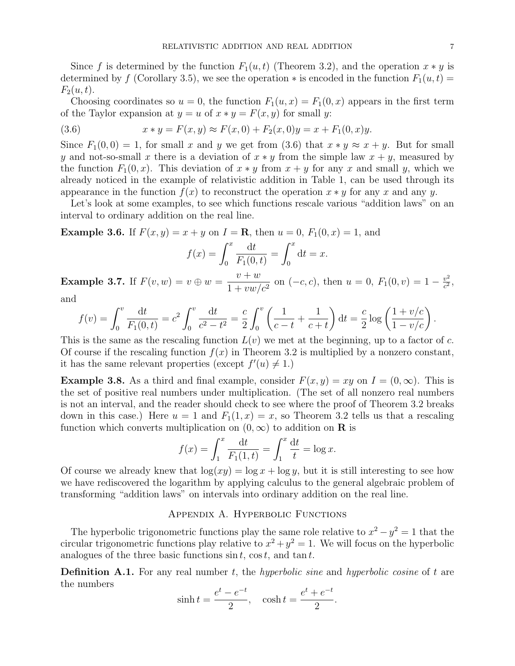Since f is determined by the function  $F_1(u, t)$  (Theorem 3.2), and the operation  $x * y$  is determined by f (Corollary 3.5), we see the operation  $*$  is encoded in the function  $F_1(u, t) =$  $F_2(u, t)$ .

Choosing coordinates so  $u = 0$ , the function  $F_1(u, x) = F_1(0, x)$  appears in the first term of the Taylor expansion at  $y = u$  of  $x * y = F(x, y)$  for small y:

(3.6) 
$$
x * y = F(x, y) \approx F(x, 0) + F_2(x, 0)y = x + F_1(0, x)y.
$$

Since  $F_1(0,0) = 1$ , for small x and y we get from (3.6) that  $x * y \approx x + y$ . But for small y and not-so-small x there is a deviation of  $x * y$  from the simple law  $x + y$ , measured by the function  $F_1(0, x)$ . This deviation of  $x * y$  from  $x + y$  for any x and small y, which we already noticed in the example of relativistic addition in Table 1, can be used through its appearance in the function  $f(x)$  to reconstruct the operation  $x * y$  for any x and any y.

Let's look at some examples, to see which functions rescale various "addition laws" on an interval to ordinary addition on the real line.

**Example 3.6.** If  $F(x, y) = x + y$  on  $I = \mathbb{R}$ , then  $u = 0$ ,  $F_1(0, x) = 1$ , and

$$
f(x) = \int_0^x \frac{\mathrm{d}t}{F_1(0, t)} = \int_0^x \mathrm{d}t = x.
$$

**Example 3.7.** If  $F(v, w) = v \oplus w = \frac{v + w}{1 + w}$  $\frac{v+w}{1+vw/c^2}$  on  $(-c, c)$ , then  $u = 0$ ,  $F_1(0, v) = 1 - \frac{v^2}{c^2}$  $\frac{v^2}{c^2}$ ,

and

$$
f(v) = \int_0^v \frac{dt}{F_1(0,t)} = c^2 \int_0^v \frac{dt}{c^2 - t^2} = \frac{c}{2} \int_0^v \left(\frac{1}{c - t} + \frac{1}{c + t}\right) dt = \frac{c}{2} \log \left(\frac{1 + v/c}{1 - v/c}\right).
$$

This is the same as the rescaling function  $L(v)$  we met at the beginning, up to a factor of c. Of course if the rescaling function  $f(x)$  in Theorem 3.2 is multiplied by a nonzero constant, it has the same relevant properties (except  $f'(u) \neq 1$ .)

**Example 3.8.** As a third and final example, consider  $F(x, y) = xy$  on  $I = (0, \infty)$ . This is the set of positive real numbers under multiplication. (The set of all nonzero real numbers is not an interval, and the reader should check to see where the proof of Theorem 3.2 breaks down in this case.) Here  $u = 1$  and  $F_1(1, x) = x$ , so Theorem 3.2 tells us that a rescaling function which converts multiplication on  $(0, \infty)$  to addition on **R** is

$$
f(x) = \int_1^x \frac{dt}{F_1(1,t)} = \int_1^x \frac{dt}{t} = \log x.
$$

Of course we already knew that  $\log(xy) = \log x + \log y$ , but it is still interesting to see how we have rediscovered the logarithm by applying calculus to the general algebraic problem of transforming "addition laws" on intervals into ordinary addition on the real line.

## Appendix A. Hyperbolic Functions

The hyperbolic trigonometric functions play the same role relative to  $x^2 - y^2 = 1$  that the circular trigonometric functions play relative to  $x^2 + y^2 = 1$ . We will focus on the hyperbolic analogues of the three basic functions  $\sin t$ ,  $\cos t$ , and  $\tan t$ .

**Definition A.1.** For any real number  $t$ , the *hyperbolic sine* and *hyperbolic cosine* of  $t$  are the numbers

$$
\sinh t = \frac{e^t - e^{-t}}{2}, \quad \cosh t = \frac{e^t + e^{-t}}{2}.
$$